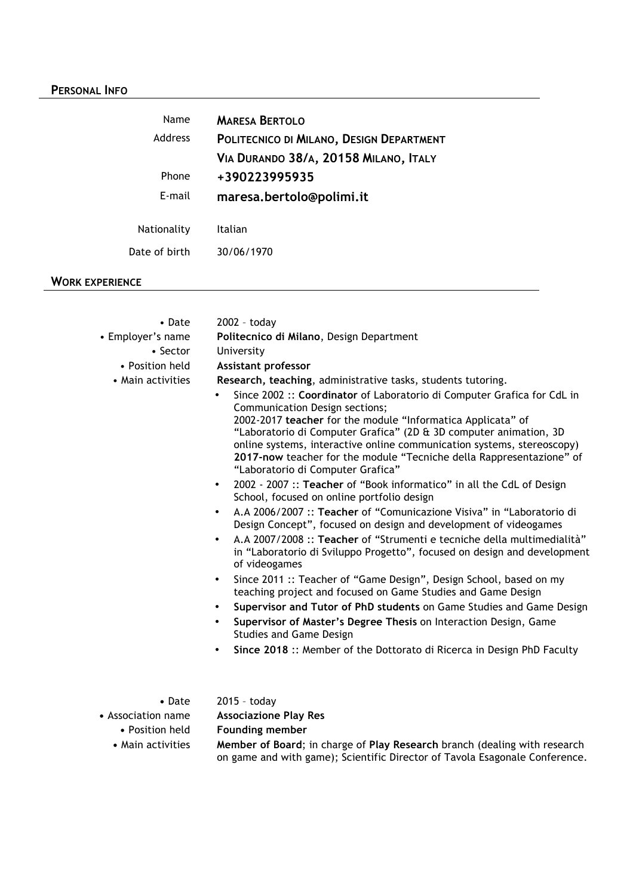# **PERSONAL INFO**

| Name           | <b>MARESA BERTOLO</b>                    |
|----------------|------------------------------------------|
| <b>Address</b> | POLITECNICO DI MILANO, DESIGN DEPARTMENT |
|                | VIA DURANDO 38/A, 20158 MILANO, ITALY    |
| Phone          | +390223995935                            |
| E-mail         | maresa.bertolo@polimi.it                 |
|                |                                          |
| Nationality    | Italian                                  |
| Date of birth  | 30/06/1970                               |
|                |                                          |

# **WORK EXPERIENCE**

| • Date                               | 2002 - today                                                                                                                                                                                                                                                                                                                                                                                                                         |
|--------------------------------------|--------------------------------------------------------------------------------------------------------------------------------------------------------------------------------------------------------------------------------------------------------------------------------------------------------------------------------------------------------------------------------------------------------------------------------------|
| • Employer's name                    | Politecnico di Milano, Design Department                                                                                                                                                                                                                                                                                                                                                                                             |
| $\bullet$ Sector                     | University                                                                                                                                                                                                                                                                                                                                                                                                                           |
| • Position held                      | Assistant professor                                                                                                                                                                                                                                                                                                                                                                                                                  |
| • Main activities                    | Research, teaching, administrative tasks, students tutoring.                                                                                                                                                                                                                                                                                                                                                                         |
|                                      | Since 2002 :: Coordinator of Laboratorio di Computer Grafica for CdL in<br>Communication Design sections;<br>2002-2017 teacher for the module "Informatica Applicata" of<br>"Laboratorio di Computer Grafica" (2D & 3D computer animation, 3D<br>online systems, interactive online communication systems, stereoscopy)<br>2017-now teacher for the module "Tecniche della Rappresentazione" of<br>"Laboratorio di Computer Grafica" |
|                                      | 2002 - 2007 :: Teacher of "Book informatico" in all the CdL of Design<br>$\bullet$<br>School, focused on online portfolio design                                                                                                                                                                                                                                                                                                     |
|                                      | A.A 2006/2007 :: Teacher of "Comunicazione Visiva" in "Laboratorio di<br>$\bullet$<br>Design Concept", focused on design and development of videogames                                                                                                                                                                                                                                                                               |
|                                      | A.A 2007/2008 :: Teacher of "Strumenti e tecniche della multimedialità"<br>$\bullet$<br>in "Laboratorio di Sviluppo Progetto", focused on design and development<br>of videogames                                                                                                                                                                                                                                                    |
|                                      | Since 2011 :: Teacher of "Game Design", Design School, based on my<br>$\bullet$<br>teaching project and focused on Game Studies and Game Design                                                                                                                                                                                                                                                                                      |
|                                      | Supervisor and Tutor of PhD students on Game Studies and Game Design<br>$\bullet$                                                                                                                                                                                                                                                                                                                                                    |
|                                      | Supervisor of Master's Degree Thesis on Interaction Design, Game<br>$\bullet$<br><b>Studies and Game Design</b>                                                                                                                                                                                                                                                                                                                      |
|                                      | Since 2018 :: Member of the Dottorato di Ricerca in Design PhD Faculty<br>٠                                                                                                                                                                                                                                                                                                                                                          |
|                                      |                                                                                                                                                                                                                                                                                                                                                                                                                                      |
| • Date                               | 2015 - today                                                                                                                                                                                                                                                                                                                                                                                                                         |
| • Association name                   | <b>Associazione Play Res</b>                                                                                                                                                                                                                                                                                                                                                                                                         |
| • Position held<br>. Main activitioc | <b>Founding member</b><br>Momber of Roard: in charge of Dlay Research branch (doaling with research                                                                                                                                                                                                                                                                                                                                  |
|                                      |                                                                                                                                                                                                                                                                                                                                                                                                                                      |

**•** Main activities **Member of Board**; in charge of **Play Research** branch (dealing with research on game and with game); Scientific Director of Tavola Esagonale Conference.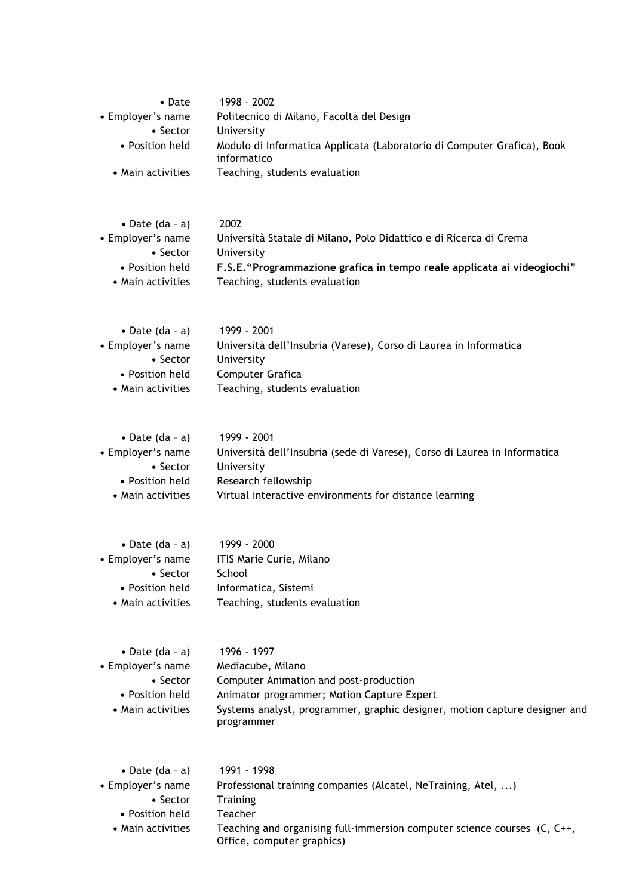| $\bullet$ Date    | 1998 - 2002                                                                            |
|-------------------|----------------------------------------------------------------------------------------|
| • Employer's name | Politecnico di Milano, Facoltà del Design                                              |
| $\bullet$ Sector  | University                                                                             |
| • Position held   | Modulo di Informatica Applicata (Laboratorio di Computer Grafica), Book<br>informatico |
| • Main activities | Teaching, students evaluation                                                          |

| • Date $(da - a)$ | 2002                                                                    |
|-------------------|-------------------------------------------------------------------------|
| • Employer's name | Università Statale di Milano, Polo Didattico e di Ricerca di Crema      |
| $\bullet$ Sector  | University                                                              |
| • Position held   | F.S.E. "Programmazione grafica in tempo reale applicata ai videogiochi" |
| • Main activities | Teaching, students evaluation                                           |

| • Date $(da - a)$ | 1999 - 2001                                                       |
|-------------------|-------------------------------------------------------------------|
| • Employer's name | Università dell'Insubria (Varese), Corso di Laurea in Informatica |
| $\bullet$ Sector  | University                                                        |
| • Position held   | Computer Grafica                                                  |
| • Main activities | Teaching, students evaluation                                     |
|                   |                                                                   |

| • Date $(da - a)$ | 1999 - 2001                                                               |
|-------------------|---------------------------------------------------------------------------|
| • Employer's name | Università dell'Insubria (sede di Varese), Corso di Laurea in Informatica |
| $\bullet$ Sector  | University                                                                |
| • Position held   | Research fellowship                                                       |
| • Main activities | Virtual interactive environments for distance learning                    |

| • Date $(da - a)$ | 1999 - 2000                   |
|-------------------|-------------------------------|
| • Employer's name | ITIS Marie Curie, Milano      |
| $\bullet$ Sector  | School                        |
| • Position held   | Informatica, Sistemi          |
| • Main activities | Teaching, students evaluation |
|                   |                               |

| 1996 - 1997                                                                              |
|------------------------------------------------------------------------------------------|
| Mediacube, Milano                                                                        |
| Computer Animation and post-production                                                   |
| Animator programmer; Motion Capture Expert                                               |
| Systems analyst, programmer, graphic designer, motion capture designer and<br>programmer |
|                                                                                          |

| • Date (da - a)   | 1991 - 1998                                                                                                    |
|-------------------|----------------------------------------------------------------------------------------------------------------|
| • Employer's name | Professional training companies (Alcatel, NeTraining, Atel, )                                                  |
| $\bullet$ Sector  | Training                                                                                                       |
| • Position held   | Teacher                                                                                                        |
| • Main activities | Teaching and organising full-immersion computer science courses $(C, C^{++}, D)$<br>Office, computer graphics) |